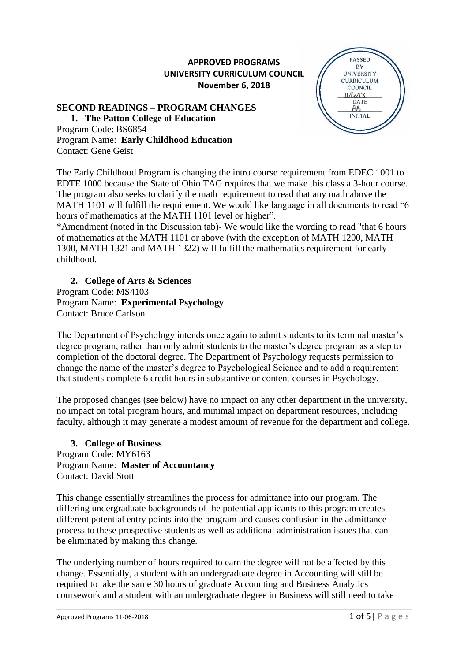## **APPROVED PROGRAMS UNIVERSITY CURRICULUM COUNCIL November 6, 2018**

#### **SECOND READINGS – PROGRAM CHANGES**

**1. The Patton College of Education** Program Code: BS6854 Program Name: **Early Childhood Education** Contact: Gene Geist



The Early Childhood Program is changing the intro course requirement from EDEC 1001 to EDTE 1000 because the State of Ohio TAG requires that we make this class a 3-hour course. The program also seeks to clarify the math requirement to read that any math above the MATH 1101 will fulfill the requirement. We would like language in all documents to read "6 hours of mathematics at the MATH 1101 level or higher".

\*Amendment (noted in the Discussion tab)- We would like the wording to read "that 6 hours of mathematics at the MATH 1101 or above (with the exception of MATH 1200, MATH 1300, MATH 1321 and MATH 1322) will fulfill the mathematics requirement for early childhood.

**2. College of Arts & Sciences**  Program Code: MS4103 Program Name: **Experimental Psychology** Contact: Bruce Carlson

The Department of Psychology intends once again to admit students to its terminal master's degree program, rather than only admit students to the master's degree program as a step to completion of the doctoral degree. The Department of Psychology requests permission to change the name of the master's degree to Psychological Science and to add a requirement that students complete 6 credit hours in substantive or content courses in Psychology.

The proposed changes (see below) have no impact on any other department in the university, no impact on total program hours, and minimal impact on department resources, including faculty, although it may generate a modest amount of revenue for the department and college.

**3. College of Business** Program Code: MY6163 Program Name: **Master of Accountancy** Contact: David Stott

This change essentially streamlines the process for admittance into our program. The differing undergraduate backgrounds of the potential applicants to this program creates different potential entry points into the program and causes confusion in the admittance process to these prospective students as well as additional administration issues that can be eliminated by making this change.

The underlying number of hours required to earn the degree will not be affected by this change. Essentially, a student with an undergraduate degree in Accounting will still be required to take the same 30 hours of graduate Accounting and Business Analytics coursework and a student with an undergraduate degree in Business will still need to take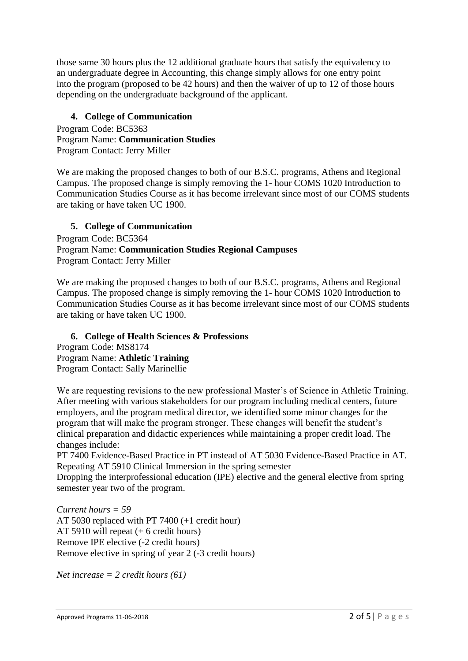those same 30 hours plus the 12 additional graduate hours that satisfy the equivalency to an undergraduate degree in Accounting, this change simply allows for one entry point into the program (proposed to be 42 hours) and then the waiver of up to 12 of those hours depending on the undergraduate background of the applicant.

## **4. College of Communication**

Program Code: BC5363 Program Name: **Communication Studies**  Program Contact: Jerry Miller

We are making the proposed changes to both of our B.S.C. programs, Athens and Regional Campus. The proposed change is simply removing the 1- hour COMS 1020 Introduction to Communication Studies Course as it has become irrelevant since most of our COMS students are taking or have taken UC 1900.

### **5. College of Communication**

Program Code: BC5364 Program Name: **Communication Studies Regional Campuses** Program Contact: Jerry Miller

We are making the proposed changes to both of our B.S.C. programs, Athens and Regional Campus. The proposed change is simply removing the 1- hour COMS 1020 Introduction to Communication Studies Course as it has become irrelevant since most of our COMS students are taking or have taken UC 1900.

#### **6. College of Health Sciences & Professions**

Program Code: MS8174 Program Name: **Athletic Training** Program Contact: Sally Marinellie

We are requesting revisions to the new professional Master's of Science in Athletic Training. After meeting with various stakeholders for our program including medical centers, future employers, and the program medical director, we identified some minor changes for the program that will make the program stronger. These changes will benefit the student's clinical preparation and didactic experiences while maintaining a proper credit load. The changes include:

PT 7400 Evidence-Based Practice in PT instead of AT 5030 Evidence-Based Practice in AT. Repeating AT 5910 Clinical Immersion in the spring semester

Dropping the interprofessional education (IPE) elective and the general elective from spring semester year two of the program.

*Current hours = 59*  AT 5030 replaced with PT 7400 (+1 credit hour) AT 5910 will repeat (+ 6 credit hours) Remove IPE elective (-2 credit hours) Remove elective in spring of year 2 (-3 credit hours)

*Net increase = 2 credit hours (61)*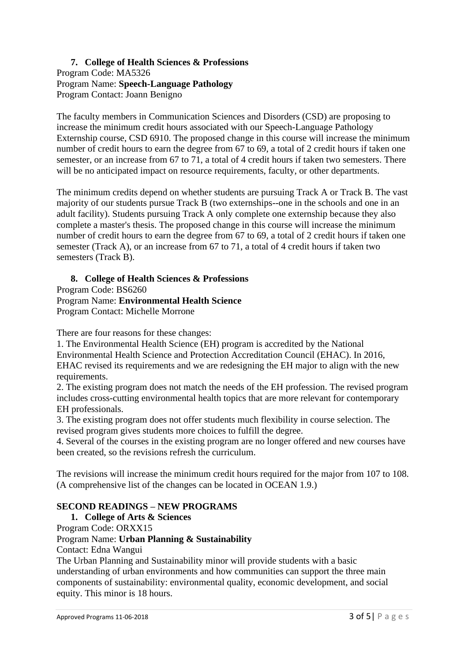#### **7. College of Health Sciences & Professions**  Program Code: MA5326 Program Name: **Speech-Language Pathology** Program Contact: Joann Benigno

The faculty members in Communication Sciences and Disorders (CSD) are proposing to increase the minimum credit hours associated with our Speech-Language Pathology Externship course, CSD 6910. The proposed change in this course will increase the minimum number of credit hours to earn the degree from 67 to 69, a total of 2 credit hours if taken one semester, or an increase from 67 to 71, a total of 4 credit hours if taken two semesters. There will be no anticipated impact on resource requirements, faculty, or other departments.

The minimum credits depend on whether students are pursuing Track A or Track B. The vast majority of our students pursue Track B (two externships--one in the schools and one in an adult facility). Students pursuing Track A only complete one externship because they also complete a master's thesis. The proposed change in this course will increase the minimum number of credit hours to earn the degree from 67 to 69, a total of 2 credit hours if taken one semester (Track A), or an increase from 67 to 71, a total of 4 credit hours if taken two semesters (Track B).

#### **8. College of Health Sciences & Professions**

Program Code: BS6260

Program Name: **Environmental Health Science** Program Contact: Michelle Morrone

There are four reasons for these changes:

1. The Environmental Health Science (EH) program is accredited by the National Environmental Health Science and Protection Accreditation Council (EHAC). In 2016, EHAC revised its requirements and we are redesigning the EH major to align with the new requirements.

2. The existing program does not match the needs of the EH profession. The revised program includes cross-cutting environmental health topics that are more relevant for contemporary EH professionals.

3. The existing program does not offer students much flexibility in course selection. The revised program gives students more choices to fulfill the degree.

4. Several of the courses in the existing program are no longer offered and new courses have been created, so the revisions refresh the curriculum.

The revisions will increase the minimum credit hours required for the major from 107 to 108. (A comprehensive list of the changes can be located in OCEAN 1.9.)

## **SECOND READINGS – NEW PROGRAMS**

## **1. College of Arts & Sciences**

Program Code: ORXX15

#### Program Name: **Urban Planning & Sustainability**

Contact: Edna Wangui

The Urban Planning and Sustainability minor will provide students with a basic understanding of urban environments and how communities can support the three main components of sustainability: environmental quality, economic development, and social equity. This minor is 18 hours.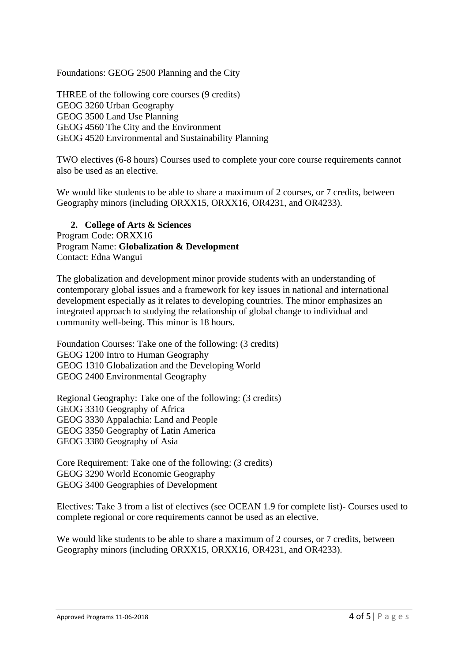Foundations: GEOG 2500 Planning and the City

THREE of the following core courses (9 credits) GEOG 3260 Urban Geography GEOG 3500 Land Use Planning GEOG 4560 The City and the Environment GEOG 4520 Environmental and Sustainability Planning

TWO electives (6-8 hours) Courses used to complete your core course requirements cannot also be used as an elective.

We would like students to be able to share a maximum of 2 courses, or 7 credits, between Geography minors (including ORXX15, ORXX16, OR4231, and OR4233).

# **2. College of Arts & Sciences**

Program Code: ORXX16 Program Name: **Globalization & Development** Contact: Edna Wangui

The globalization and development minor provide students with an understanding of contemporary global issues and a framework for key issues in national and international development especially as it relates to developing countries. The minor emphasizes an integrated approach to studying the relationship of global change to individual and community well-being. This minor is 18 hours.

Foundation Courses: Take one of the following: (3 credits) GEOG 1200 Intro to Human Geography GEOG 1310 Globalization and the Developing World GEOG 2400 Environmental Geography

Regional Geography: Take one of the following: (3 credits) GEOG 3310 Geography of Africa GEOG 3330 Appalachia: Land and People GEOG 3350 Geography of Latin America GEOG 3380 Geography of Asia

Core Requirement: Take one of the following: (3 credits) GEOG 3290 World Economic Geography GEOG 3400 Geographies of Development

Electives: Take 3 from a list of electives (see OCEAN 1.9 for complete list)- Courses used to complete regional or core requirements cannot be used as an elective.

We would like students to be able to share a maximum of 2 courses, or 7 credits, between Geography minors (including ORXX15, ORXX16, OR4231, and OR4233).